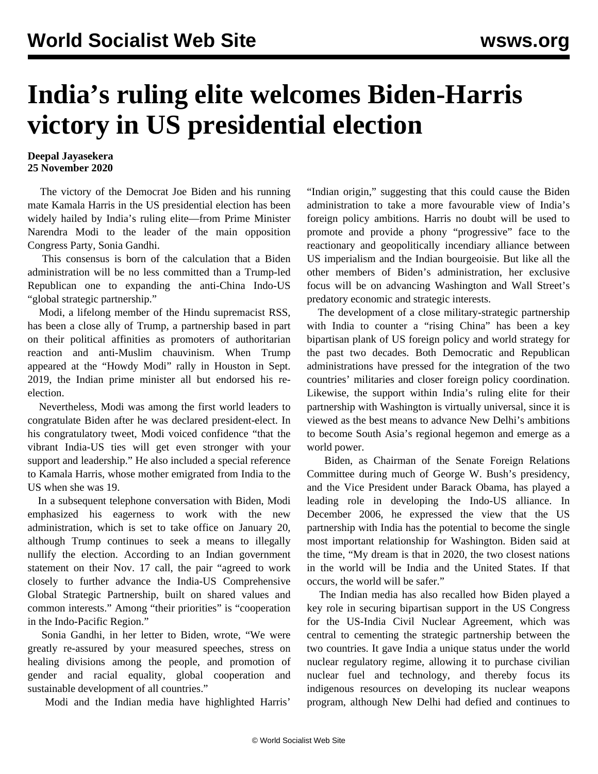## **India's ruling elite welcomes Biden-Harris victory in US presidential election**

## **Deepal Jayasekera 25 November 2020**

 The victory of the Democrat Joe Biden and his running mate Kamala Harris in the US presidential election has been widely hailed by India's ruling elite—from Prime Minister Narendra Modi to the leader of the main opposition Congress Party, Sonia Gandhi.

 This consensus is born of the calculation that a Biden administration will be no less committed than a Trump-led Republican one to expanding the anti-China Indo-US "global strategic partnership."

 Modi, a lifelong member of the Hindu supremacist RSS, has been a close ally of Trump, a partnership based in part on their political affinities as promoters of authoritarian reaction and anti-Muslim chauvinism. When Trump appeared at the "Howdy Modi" rally in Houston in Sept. 2019, the Indian prime minister all but endorsed his reelection.

 Nevertheless, Modi was among the first world leaders to congratulate Biden after he was declared president-elect. In his congratulatory tweet, Modi voiced confidence "that the vibrant India-US ties will get even stronger with your support and leadership." He also included a special reference to Kamala Harris, whose mother emigrated from India to the US when she was 19.

 In a subsequent telephone conversation with Biden, Modi emphasized his eagerness to work with the new administration, which is set to take office on January 20, although Trump continues to seek a means to illegally nullify the election. According to an Indian government statement on their Nov. 17 call, the pair "agreed to work closely to further advance the India-US Comprehensive Global Strategic Partnership, built on shared values and common interests." Among "their priorities" is "cooperation in the Indo-Pacific Region."

 Sonia Gandhi, in her letter to Biden, wrote, "We were greatly re-assured by your measured speeches, stress on healing divisions among the people, and promotion of gender and racial equality, global cooperation and sustainable development of all countries."

Modi and the Indian media have highlighted Harris'

"Indian origin," suggesting that this could cause the Biden administration to take a more favourable view of India's foreign policy ambitions. Harris no doubt will be used to promote and provide a phony "progressive" face to the reactionary and geopolitically incendiary alliance between US imperialism and the Indian bourgeoisie. But like all the other members of Biden's administration, her exclusive focus will be on advancing Washington and Wall Street's predatory economic and strategic interests.

 The development of a close military-strategic partnership with India to counter a "rising China" has been a key bipartisan plank of US foreign policy and world strategy for the past two decades. Both Democratic and Republican administrations have pressed for the integration of the two countries' militaries and closer foreign policy coordination. Likewise, the support within India's ruling elite for their partnership with Washington is virtually universal, since it is viewed as the best means to advance New Delhi's ambitions to become South Asia's regional hegemon and emerge as a world power.

 Biden, as Chairman of the Senate Foreign Relations Committee during much of George W. Bush's presidency, and the Vice President under Barack Obama, has played a leading role in developing the Indo-US alliance. In December 2006, he expressed the view that the US partnership with India has the potential to become the single most important relationship for Washington. Biden said at the time, "My dream is that in 2020, the two closest nations in the world will be India and the United States. If that occurs, the world will be safer."

 The Indian media has also recalled how Biden played a key role in securing bipartisan support in the US Congress for the US-India Civil Nuclear Agreement, which was central to cementing the strategic partnership between the two countries. It gave India a unique status under the world nuclear regulatory regime, allowing it to purchase civilian nuclear fuel and technology, and thereby focus its indigenous resources on developing its nuclear weapons program, although New Delhi had defied and continues to